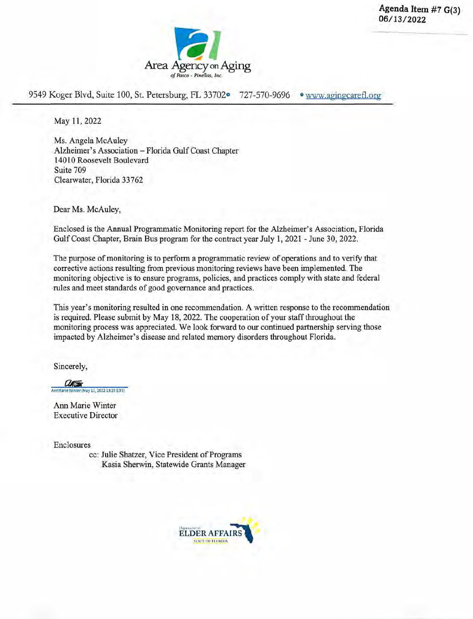**Agenda Item #7 G(3) 06/1 3/2022** 



9549 Koger Blvd, Suite 100, St. Petersburg, FL 33702<sup>o</sup> 727-570-9696 • www.agingcarefl.org

May 11,2022

Ms. Angela McAuley Alzheimer's Association — Florida Gulf Coast Chapter 14010 Roosevelt Boulevard Suite 709 Clearwater, Florida 33762

Dear Ms. McAuley,

Enclosed is the Annual Programmatic Monitoring report for the Alzheimer's Association, Florida Gulf Coast Chapter, Brain Bus program for the contract year July 1, 2021 - June 30, 2022.

The purpose of monitoring is to perform a programmatic review of operations and to verify that corrective actions resulting from previous monitoring reviews have been implemented. The monitoring objective is to ensure programs, policies, and practices comply with state and federal rules and meet standards of good governance and practices.

This year's monitoring resulted in one recommendation. A written response to the recommendation is required. Please submit by May 18, 2022. The cooperation of your staff throughout the monitoring process was appreciated. We look forward to our continued partnership serving those impacted by Alzheimer's disease and related memory disorders throughout Florida.

Sincerely,

ation (May 11, 2022 13:35 EDT)

Ann Marie Winter Executive Director

Enclosures

cc: Julie Shatzer, Vice President of Programs Kasia Sherwin, Statewide Grants Manager

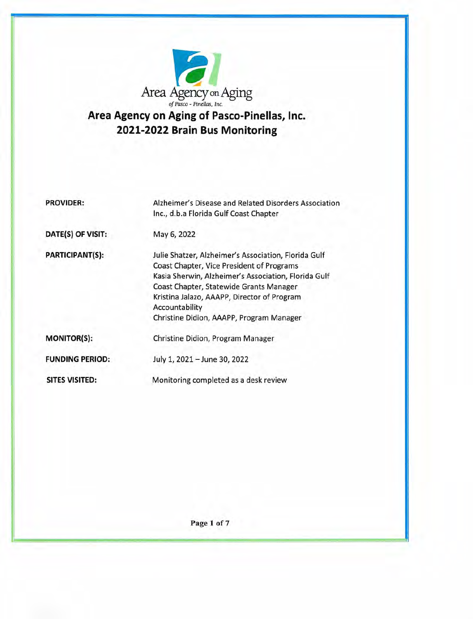

# **Area Agency on Aging of Pasco-Pinellas, Inc. 2021-2022 Brain Bus Monitoring**

| <b>PROVIDER:</b>       | Alzheimer's Disease and Related Disorders Association<br>Inc., d.b.a Florida Gulf Coast Chapter                                                                                                                                                                                                                   |
|------------------------|-------------------------------------------------------------------------------------------------------------------------------------------------------------------------------------------------------------------------------------------------------------------------------------------------------------------|
| DATE(S) OF VISIT:      | May 6, 2022                                                                                                                                                                                                                                                                                                       |
| <b>PARTICIPANT(S):</b> | Julie Shatzer, Alzheimer's Association, Florida Gulf<br>Coast Chapter, Vice President of Programs<br>Kasia Sherwin, Alzheimer's Association, Florida Gulf<br>Coast Chapter, Statewide Grants Manager<br>Kristina Jalazo, AAAPP, Director of Program<br>Accountability<br>Christine Didion, AAAPP, Program Manager |
| <b>MONITOR(S):</b>     | Christine Didion, Program Manager                                                                                                                                                                                                                                                                                 |
| <b>FUNDING PERIOD:</b> | July 1, 2021 - June 30, 2022                                                                                                                                                                                                                                                                                      |
| SITES VISITED:         | Monitoring completed as a desk review                                                                                                                                                                                                                                                                             |

**Page! of** 7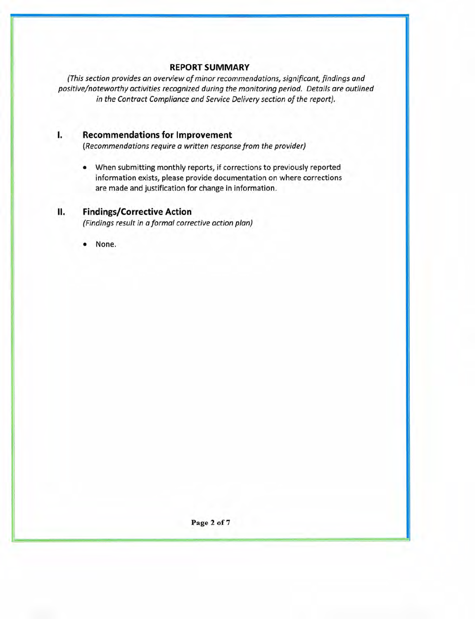## **REPORT SUMMARY**

(This section provides an overview of minor recommendations, significant, findings and positive/noteworthy activities recognized during the monitoring period. Details are outlined in the Contract Compliance and Service Delivery section of the report).

## **I. Recommendations for Improvement**

(Recommendations require a written response from the provider)

• When submitting monthly reports, if corrections to previously reported information exists, please provide documentation on where corrections are made and justification for change in information.

# **II. Findings/Corrective Action**

(Findings result in a formal corrective action plan)

None.

**Page** 2 **of** 7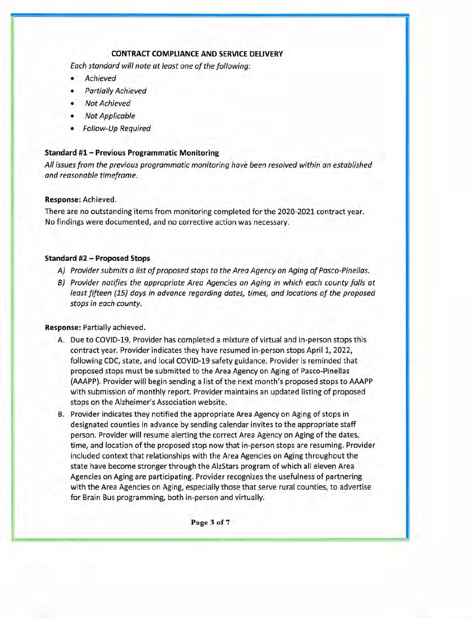#### **CONTRACT COMPLIANCE AND SERVICE DELIVERY**

Each standard will note at least one of the following:

- **Achieved**
- Partially Achieved
- **Not Achieved**
- Not Applicable
- Follow-Up Required

#### **Standard #1 — Previous Programmatic Monitoring**

All issues from the previous programmatic monitoring have been resolved within an established and reasonable timeframe.

#### **Response:** Achieved.

There are no outstanding items from monitoring completed for the 2020-2021 contract year. No findings were documented, and no corrective action was necessary.

#### **Standard #2— Proposed Stops**

- A) Provider submits a list of proposed stops to the Area Agency on Aging of Pasco-Pinellas.
- B) Provider notifies the appropriate Area Agencies on Aging in which each county falls at least fifteen (15) days in advance regarding dates, times, and locations of the proposed stops in each county.

#### **Response:** Partially achieved.

- A. Due to COVlD-19, Provider has completed a mixture of virtual and in-person stops this contract year. Provider indicates they have resumed in-person stops April 1, 2022, following CDC, state, and local COVID-19 safety guidance. Provider is reminded that proposed stops must be submitted to the Area Agency on Aging of Pasco-Pinellas (AAAPP). Provider will begin sending a list of the next month's proposed stops to AAAPP with submission of monthly report. Provider maintains an updated listing of proposed stops on the Alzheimer's Association website.
- B. Provider indicates they notified the appropriate Area Agency on Aging of stops in designated counties in advance by sending calendar invites to the appropriate staff person. Provider will resume alerting the correct Area Agency on Aging of the dates, time, and location of the proposed stop now that in-person stops are resuming. Provider included context that relationships with the Area Agencies on Aging throughout the state have become stronger through the AlzStars program of which all eleven Area Agencies on Aging are participating. Provider recognizes the usefulness of partnering with the Area Agencies on Aging, especially those that serve rural counties, to advertise for Brain Bus programming, both in-person and virtually.

Page 3 of 7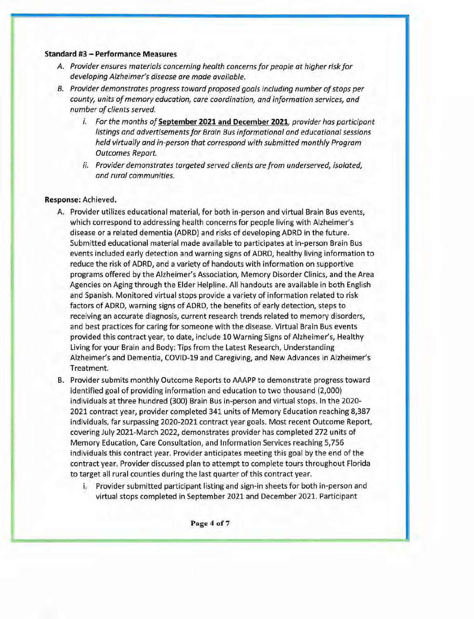#### Standard **#3— Performance Measures**

- A. Provider ensures materials concerning health concerns for people at higher risk for developing Alzheimer's disease are made available.
- B. Provider demonstrates progress toward proposed goals including number of stops per county, units of memory education, care coordination, and information services, and number of clients served.
	- i. For the months of **September 2021 and December 2021,** provider has participant listings and advertisements for Brain Bus informational and educational sessions held virtually and in-person that correspond with submitted monthly Program Outcomes Report.
	- ii. Provider demonstrates targeted served clients are from underserved, isolated, and rural communities.

#### **Response:** Achieved.

- A. Provider utilizes educational material, for both in-person and virtual Brain Bus events, which correspond to addressing health concerns for people living with Alzheimer's disease or a related dementia (ADRD) and risks of developing ADRD in the future. Submitted educational material made available to participates at in-person Brain Bus events included early detection and warning signs of ADRD, healthy living information to reduce the risk of ADRD, and a variety of handouts with information on supportive programs offered by the Alzheimer's Association, Memory Disorder Clinics, and the Area Agencies on Aging through the Elder Helpline. All handouts are available in both English and Spanish. Monitored virtual stops provide a variety of information related to risk factors of ADRD, warning signs of ADRD, the benefits of early detection, steps to receiving an accurate diagnosis, current research trends related to memory disorders, and best practices for caring for someone with the disease. Virtual Brain Bus events provided this contract year, to date, include 10 Warning Signs of Alzheimer's, Healthy Living for your Brain and Body: Tips from the Latest Research, Understanding Alzheimer's and Dementia, COVID-19 and Caregiving, and New Advances in Alzheimer's Treatment.
- B. Provider submits monthly Outcome Reports to AAAPP to demonstrate progress toward identified goal of providing information and education to two thousand (2,000) individuals at three hundred (300) Brain Bus in-person and virtual stops. In the 2020- 2021 contract year, provider completed 341 units of Memory Education reaching 8,387 individuals, far surpassing 2020-2021 contract year goals. Most recent Outcome Report, covering July 2021-March 2022, demonstrates provider has completed 272 units of Memory Education, Care Consultation, and Information Services reaching 5,756 individuals this contract year. Provider anticipates meeting this goal by the end of the contract year. Provider discussed plan to attempt to complete tours throughout Florida to target all rural counties during the last quarter of this contract year.
	- i. Provider submitted participant listing and sign-in sheets for both in-person and virtual stops completed in September 2021 and December 2021. Participant

Page 4 of 7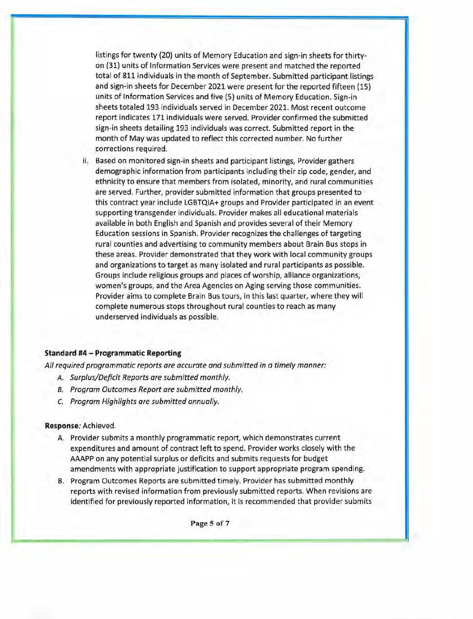listings for twenty (20) units of Memory Education and sign-in sheets for thirtyon (31) units of Information Services were present and matched the reported total of 811 individuals in the month of September. Submitted participant listings and sign-in sheets for December 2021 were present for the reported fifteen (15) units of Information Services and five (5) units of Memory Education. Sign-in sheets totaled 193 individuals served in December 2021. Most recent outcome report indicates 171 individuals were served. Provider confirmed the submitted sign-in sheets detailing 193 individuals was correct. Submitted report in the month of May was updated to reflect this corrected number. No further corrections required.

ii. Based on monitored sign-in sheets and participant listings, Provider gathers demographic information from participants including their zip code, gender, and ethnicity to ensure that members from isolated, minority, and rural communities are served. Further, provider submitted information that groups presented to this contract year include LGBTQIA+ groups and Provider participated in an event supporting transgender individuals. Provider makes all educational materials available in both English and Spanish and provides several of their Memory Education sessions in Spanish. Provider recognizes the challenges of targeting rural counties and advertising to community members about Brain Bus stops in these areas. Provider demonstrated that they work with local community groups and organizations to target as many isolated and rural participants as possible. Groups include religious groups and places of worship, alliance organizations, women's groups, and the Area Agencies on Aging serving those communities. Provider aims to complete Brain Bus tours, in this last quarter, where they will complete numerous stops throughout rural counties to reach as many underserved individuals as possible.

#### **Standard #4** — **Programmatic Reporting**

All required programmatic reports are accurate and submitted in a timely manner:

- A. Surplus/Deficit Reports are submitted monthly.
- B. Program Outcomes Report are submitted monthly.
- C. Program Highlights are submitted annually.

#### **Response:** Achieved.

- A. Provider submits a monthly programmatic report, which demonstrates current expenditures and amount of contract left to spend. Provider works closely with the AAAPP on any potential surplus or deficits and submits requests for budget amendments with appropriate justification to support appropriate program spending.
- B. Program Outcomes Reports are submitted timely. Provider has submitted monthly reports with revised information from previously submitted reports. When revisions are identified for previously reported information, it is recommended that provider submits

**Page** *5* **of** 7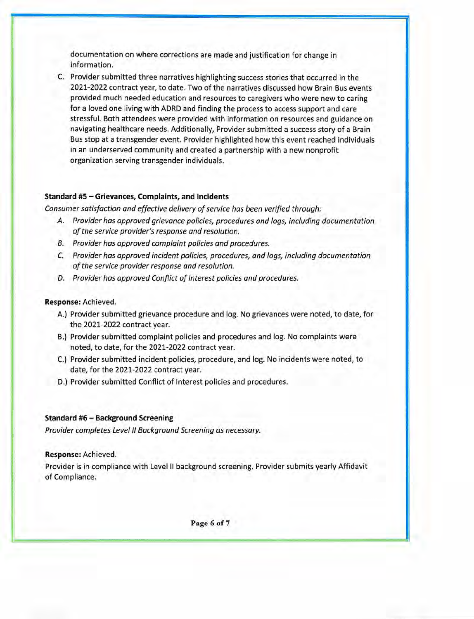documentation on where corrections are made and justification for change in information.

C. Provider submitted three narratives highlighting success stories that occurred in the 2021-2022 contract year, to date. Two of the narratives discussed how Brain Bus events provided much needed education and resources to caregivers who were new to caring for a loved one living with ADRD and finding the process to access support and care stressful. Both attendees were provided with information on resources and guidance on navigating healthcare needs. Additionally, Provider submitted a success story of a Brain Bus stop at a transgender event. Provider highlighted how this event reached individuals in an underserved community and created a partnership with a new nonprofit organization serving transgender individuals.

#### **Standard #5— Grievances, Complaints, and Incidents**

*Consumer satisfaction and effective delivery* of *service has been verified through:* 

- *A. Provider has approved grievance policies, procedures and logs, including documentation*  of *the service provider's response and resolution.*
- *B. Provider has approved complaint policies and procedures.*
- *C. Provider has approved incident policies, procedures, and logs, including documentation*  of *the service provider response and resolution.*
- *D. Provider has approved Conflict* of *Interest policies and procedures.*

#### **Response:** Achieved.

**I**

- A.) Provider submitted grievance procedure and log. No grievances were noted, to date, for the 2021-2022 contract year.
- B.) Provider submitted complaint policies and procedures and log. No complaints were noted, to date, for the 2021-2022 contract year.
- C.) Provider submitted incident policies, procedure, and log. No incidents were noted, to date, for the 2021-2022 contract year.
- D.) Provider submitted Conflict of Interest policies and procedures.

#### **Standard #6** — **Background Screening**

*Provider completes Level II Background Screening as necessary.* 

#### **Response:** Achieved.

Provider is in compliance with Level II background screening. Provider submits yearly Affidavit of Compliance.

**Page 6 of** 7